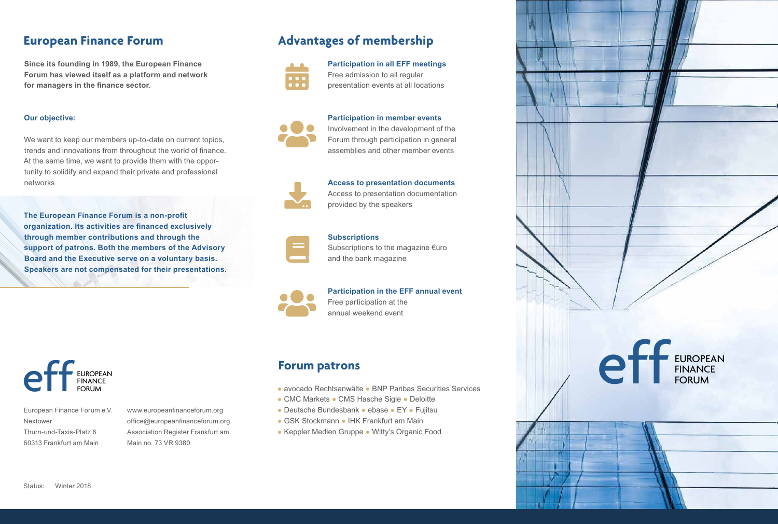## **European Finance Forum**

**Since its founding in 1989, the European Finance Forum has viewed itself as a platform and network for managers in the finance sector.** 

### **Our objective:**

We want to keep our members up-to-date on current topics, trends and innovations from throughout the world of finance. At the same time, we want to provide them with the opportunity to solidify and expand their private and professional networks

**The European Finance Forum is a non-profit organization. Its activities are financed exclusively through member contributions and through the support of patrons. Both the members of the Advisory Board and the Executive serve on a voluntary basis. Speakers are not compensated for their presentations.**



European Finance Forum e.V. Nextower Thurn-und-Taxis-Platz 6 60313 Frankfurt am Main

www.europeanfinanceforum.org office@europeanfinanceforum.org Association Register Frankfurt am Main no. 73 VR 9380

# **Advantages of membership**



**Participation in all EFF meetings**  Free admission to all regular presentation events at all locations



**Participation in member events** 

Involvement in the development of the Forum through participation in general assemblies and other member events



**Access to presentation documents** Access to presentation documentation provided by the speakers

### **Subscriptions**



Subscriptions to the magazine €uro and the bank magazine



**Participation in the EFF annual event**

Free participation at the annual weekend event

## **Forum patrons**

- avocado Rechtsanwälte BNP Paribas Securities Services
- CMC Markets CMS Hasche Sigle Deloitte
- Deutsche Bundesbank ebase EY Fujitsu
- GSK Stockmann IHK Frankfurt am Main
- Keppler Medien Gruppe Witty's Organic Food